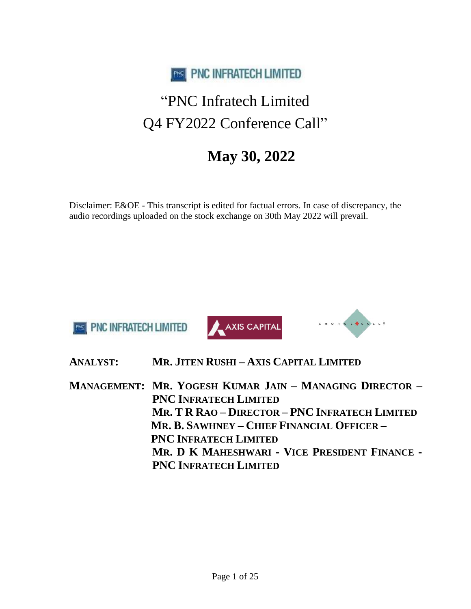

# "PNC Infratech Limited Q4 FY2022 Conference Call"

## **May 30, 2022**

Disclaimer: E&OE - This transcript is edited for factual errors. In case of discrepancy, the audio recordings uploaded on the stock exchange on 30th May 2022 will prevail.







**ANALYST: MR. JITEN RUSHI – AXIS CAPITAL LIMITED**

**MANAGEMENT: MR. YOGESH KUMAR JAIN – MANAGING DIRECTOR – PNC INFRATECH LIMITED MR. T R RAO – DIRECTOR – PNC INFRATECH LIMITED MR. B. SAWHNEY – CHIEF FINANCIAL OFFICER – PNC INFRATECH LIMITED MR. D K MAHESHWARI - VICE PRESIDENT FINANCE - PNC INFRATECH LIMITED**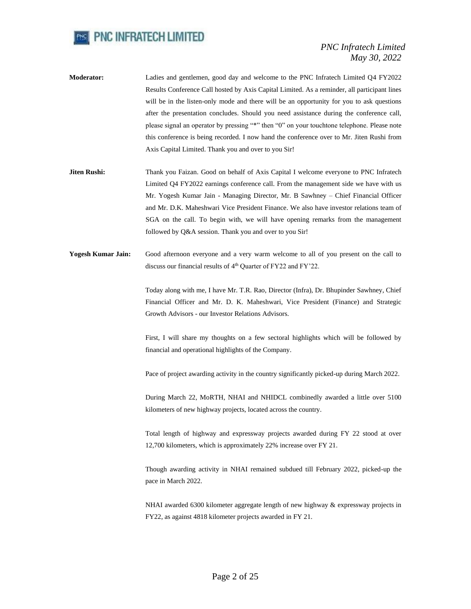

- **Moderator:** Ladies and gentlemen, good day and welcome to the PNC Infratech Limited Q4 FY2022 Results Conference Call hosted by Axis Capital Limited. As a reminder, all participant lines will be in the listen-only mode and there will be an opportunity for you to ask questions after the presentation concludes. Should you need assistance during the conference call, please signal an operator by pressing "\*" then "0" on your touchtone telephone. Please note this conference is being recorded. I now hand the conference over to Mr. Jiten Rushi from Axis Capital Limited. Thank you and over to you Sir!
- **Jiten Rushi:** Thank you Faizan. Good on behalf of Axis Capital I welcome everyone to PNC Infratech Limited Q4 FY2022 earnings conference call. From the management side we have with us Mr. Yogesh Kumar Jain - Managing Director, Mr. B Sawhney – Chief Financial Officer and Mr. D.K. Maheshwari Vice President Finance. We also have investor relations team of SGA on the call. To begin with, we will have opening remarks from the management followed by Q&A session. Thank you and over to you Sir!
- **Yogesh Kumar Jain:** Good afternoon everyone and a very warm welcome to all of you present on the call to discuss our financial results of 4<sup>th</sup> Quarter of FY22 and FY'22.

Today along with me, I have Mr. T.R. Rao, Director (Infra), Dr. Bhupinder Sawhney, Chief Financial Officer and Mr. D. K. Maheshwari, Vice President (Finance) and Strategic Growth Advisors - our Investor Relations Advisors.

First, I will share my thoughts on a few sectoral highlights which will be followed by financial and operational highlights of the Company.

Pace of project awarding activity in the country significantly picked-up during March 2022.

During March 22, MoRTH, NHAI and NHIDCL combinedly awarded a little over 5100 kilometers of new highway projects, located across the country.

Total length of highway and expressway projects awarded during FY 22 stood at over 12,700 kilometers, which is approximately 22% increase over FY 21.

Though awarding activity in NHAI remained subdued till February 2022, picked-up the pace in March 2022.

NHAI awarded 6300 kilometer aggregate length of new highway & expressway projects in FY22, as against 4818 kilometer projects awarded in FY 21.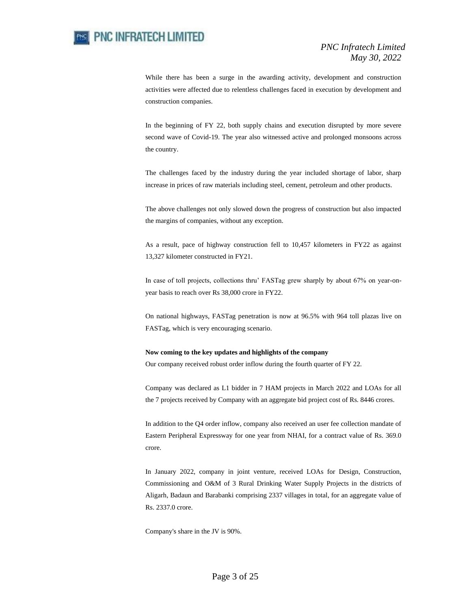

While there has been a surge in the awarding activity, development and construction activities were affected due to relentless challenges faced in execution by development and construction companies.

In the beginning of FY 22, both supply chains and execution disrupted by more severe second wave of Covid-19. The year also witnessed active and prolonged monsoons across the country.

The challenges faced by the industry during the year included shortage of labor, sharp increase in prices of raw materials including steel, cement, petroleum and other products.

The above challenges not only slowed down the progress of construction but also impacted the margins of companies, without any exception.

As a result, pace of highway construction fell to 10,457 kilometers in FY22 as against 13,327 kilometer constructed in FY21.

In case of toll projects, collections thru' FASTag grew sharply by about 67% on year-onyear basis to reach over Rs 38,000 crore in FY22.

On national highways, FASTag penetration is now at 96.5% with 964 toll plazas live on FASTag, which is very encouraging scenario.

#### **Now coming to the key updates and highlights of the company**

Our company received robust order inflow during the fourth quarter of FY 22.

Company was declared as L1 bidder in 7 HAM projects in March 2022 and LOAs for all the 7 projects received by Company with an aggregate bid project cost of Rs. 8446 crores.

In addition to the Q4 order inflow, company also received an user fee collection mandate of Eastern Peripheral Expressway for one year from NHAI, for a contract value of Rs. 369.0 crore.

In January 2022, company in joint venture, received LOAs for Design, Construction, Commissioning and O&M of 3 Rural Drinking Water Supply Projects in the districts of Aligarh, Badaun and Barabanki comprising 2337 villages in total, for an aggregate value of Rs. 2337.0 crore.

Company's share in the JV is 90%.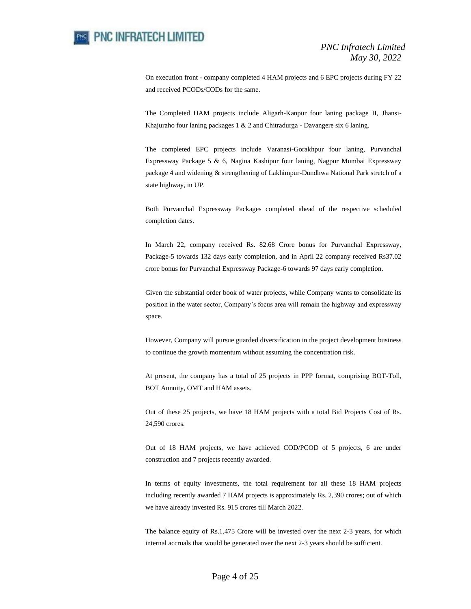On execution front - company completed 4 HAM projects and 6 EPC projects during FY 22 and received PCODs/CODs for the same.

The Completed HAM projects include Aligarh-Kanpur four laning package II, Jhansi-Khajuraho four laning packages 1 & 2 and Chitradurga - Davangere six 6 laning.

The completed EPC projects include Varanasi-Gorakhpur four laning, Purvanchal Expressway Package 5 & 6, Nagina Kashipur four laning, Nagpur Mumbai Expressway package 4 and widening & strengthening of Lakhimpur-Dundhwa National Park stretch of a state highway, in UP.

Both Purvanchal Expressway Packages completed ahead of the respective scheduled completion dates.

In March 22, company received Rs. 82.68 Crore bonus for Purvanchal Expressway, Package-5 towards 132 days early completion, and in April 22 company received Rs37.02 crore bonus for Purvanchal Expressway Package-6 towards 97 days early completion.

Given the substantial order book of water projects, while Company wants to consolidate its position in the water sector, Company's focus area will remain the highway and expressway space.

However, Company will pursue guarded diversification in the project development business to continue the growth momentum without assuming the concentration risk.

At present, the company has a total of 25 projects in PPP format, comprising BOT-Toll, BOT Annuity, OMT and HAM assets.

Out of these 25 projects, we have 18 HAM projects with a total Bid Projects Cost of Rs. 24,590 crores.

Out of 18 HAM projects, we have achieved COD/PCOD of 5 projects, 6 are under construction and 7 projects recently awarded.

In terms of equity investments, the total requirement for all these 18 HAM projects including recently awarded 7 HAM projects is approximately Rs. 2,390 crores; out of which we have already invested Rs. 915 crores till March 2022.

The balance equity of Rs.1,475 Crore will be invested over the next 2-3 years, for which internal accruals that would be generated over the next 2-3 years should be sufficient.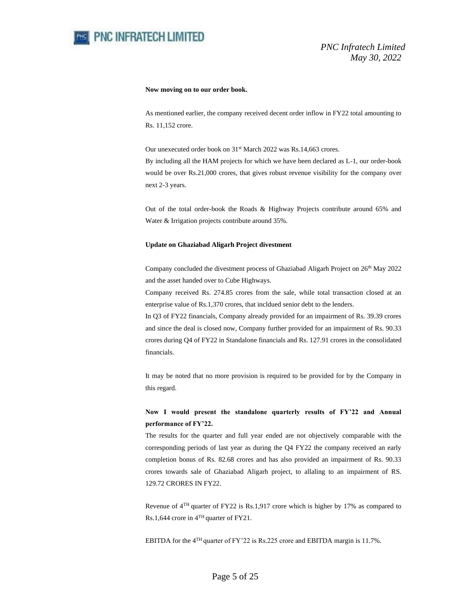

#### **Now moving on to our order book.**

As mentioned earlier, the company received decent order inflow in FY22 total amounting to Rs. 11,152 crore.

Our unexecuted order book on 31<sup>st</sup> March 2022 was Rs.14,663 crores.

By including all the HAM projects for which we have been declared as L-1, our order-book would be over Rs.21,000 crores, that gives robust revenue visibility for the company over next 2-3 years.

Out of the total order-book the Roads & Highway Projects contribute around 65% and Water & Irrigation projects contribute around 35%.

#### **Update on Ghaziabad Aligarh Project divestment**

Company concluded the divestment process of Ghaziabad Aligarh Project on 26<sup>th</sup> May 2022 and the asset handed over to Cube Highways.

Company received Rs. 274.85 crores from the sale, while total transaction closed at an enterprise value of Rs.1,370 crores, that incldued senior debt to the lenders.

In Q3 of FY22 financials, Company already provided for an impairment of Rs. 39.39 crores and since the deal is closed now, Company further provided for an impairment of Rs. 90.33 crores during Q4 of FY22 in Standalone financials and Rs. 127.91 crores in the consolidated financials.

It may be noted that no more provision is required to be provided for by the Company in this regard.

### **Now I would present the standalone quarterly results of FY'22 and Annual performance of FY'22.**

The results for the quarter and full year ended are not objectively comparable with the corresponding periods of last year as during the Q4 FY22 the company received an early completion bonus of Rs. 82.68 crores and has also provided an impairment of Rs. 90.33 crores towards sale of Ghaziabad Aligarh project, to allaling to an impairment of RS. 129.72 CRORES IN FY22.

Revenue of 4TH quarter of FY22 is Rs.1,917 crore which is higher by 17% as compared to Rs.1,644 crore in 4TH quarter of FY21.

EBITDA for the 4TH quarter of FY'22 is Rs.225 crore and EBITDA margin is 11.7%.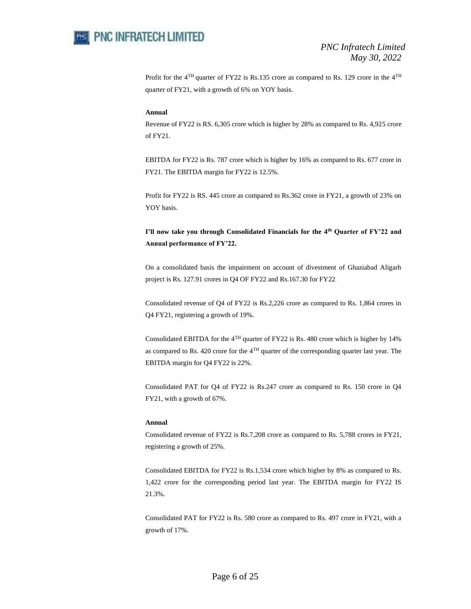

Profit for the  $4<sup>TH</sup>$  quarter of FY22 is Rs.135 crore as compared to Rs. 129 crore in the  $4<sup>TH</sup>$ quarter of FY21, with a growth of 6% on YOY basis.

#### **Annual**

Revenue of FY22 is RS. 6,305 crore which is higher by 28% as compared to Rs. 4,925 crore of FY21.

EBITDA for FY22 is Rs. 787 crore which is higher by 16% as compared to Rs. 677 crore in FY21. The EBITDA margin for FY22 is 12.5%.

Profit for FY22 is RS. 445 crore as compared to Rs.362 crore in FY21, a growth of 23% on YOY basis.

## **I'll now take you through Consolidated Financials for the 4th Quarter of FY'22 and Annual performance of FY'22.**

On a consolidated basis the impairment on account of divestment of Ghaziabad Aligarh project is Rs. 127.91 crores in Q4 OF FY22 and Rs.167.30 for FY22

Consolidated revenue of Q4 of FY22 is Rs.2,226 crore as compared to Rs. 1,864 crores in Q4 FY21, registering a growth of 19%.

Consolidated EBITDA for the 4TH quarter of FY22 is Rs. 480 crore which is higher by 14% as compared to Rs. 420 crore for the  $4<sup>TH</sup>$  quarter of the corresponding quarter last year. The EBITDA margin for Q4 FY22 is 22%.

Consolidated PAT for Q4 of FY22 is Rs.247 crore as compared to Rs. 150 crore in Q4 FY21, with a growth of 67%.

#### **Annual**

Consolidated revenue of FY22 is Rs.7,208 crore as compared to Rs. 5,788 crores in FY21, registering a growth of 25%.

Consolidated EBITDA for FY22 is Rs.1,534 crore which higher by 8% as compared to Rs. 1,422 crore for the corresponding period last year. The EBITDA margin for FY22 IS 21.3%.

Consolidated PAT for FY22 is Rs. 580 crore as compared to Rs. 497 crore in FY21, with a growth of 17%.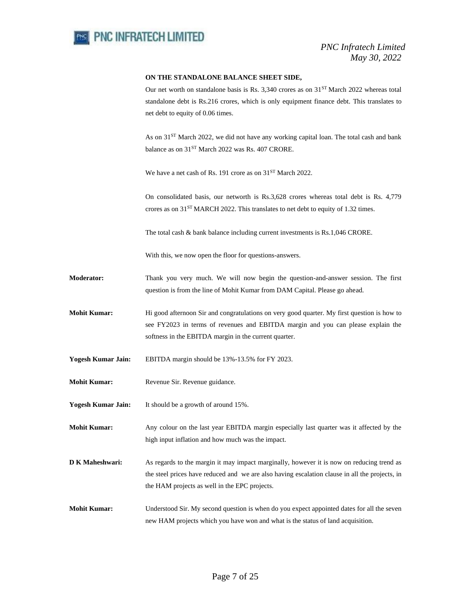

#### **ON THE STANDALONE BALANCE SHEET SIDE,**

Our net worth on standalone basis is Rs. 3,340 crores as on  $31<sup>ST</sup>$  March 2022 whereas total standalone debt is Rs.216 crores, which is only equipment finance debt. This translates to net debt to equity of 0.06 times.

As on 31<sup>ST</sup> March 2022, we did not have any working capital loan. The total cash and bank balance as on 31<sup>ST</sup> March 2022 was Rs. 407 CRORE.

We have a net cash of Rs. 191 crore as on 31<sup>ST</sup> March 2022.

On consolidated basis, our networth is Rs.3,628 crores whereas total debt is Rs. 4,779 crores as on 31ST MARCH 2022. This translates to net debt to equity of 1.32 times.

The total cash & bank balance including current investments is Rs.1,046 CRORE.

With this, we now open the floor for questions-answers.

- **Moderator:** Thank you very much. We will now begin the question-and-answer session. The first question is from the line of Mohit Kumar from DAM Capital. Please go ahead.
- **Mohit Kumar:** Hi good afternoon Sir and congratulations on very good quarter. My first question is how to see FY2023 in terms of revenues and EBITDA margin and you can please explain the softness in the EBITDA margin in the current quarter.
- **Yogesh Kumar Jain:** EBITDA margin should be 13%-13.5% for FY 2023.
- **Mohit Kumar:** Revenue Sir. Revenue guidance.
- **Yogesh Kumar Jain:** It should be a growth of around 15%.
- **Mohit Kumar:** Any colour on the last year EBITDA margin especially last quarter was it affected by the high input inflation and how much was the impact.
- **D K Maheshwari:** As regards to the margin it may impact marginally, however it is now on reducing trend as the steel prices have reduced and we are also having escalation clause in all the projects, in the HAM projects as well in the EPC projects.
- **Mohit Kumar:** Understood Sir. My second question is when do you expect appointed dates for all the seven new HAM projects which you have won and what is the status of land acquisition.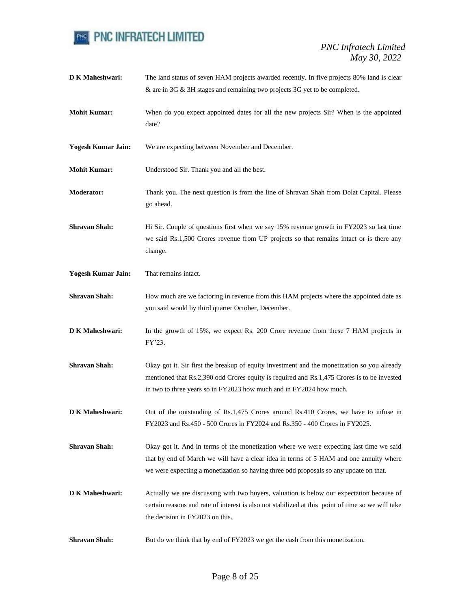

| D K Maheshwari:           | The land status of seven HAM projects awarded recently. In five projects 80% land is clear<br>& are in 3G & 3H stages and remaining two projects 3G yet to be completed.                                                                                                   |
|---------------------------|----------------------------------------------------------------------------------------------------------------------------------------------------------------------------------------------------------------------------------------------------------------------------|
| <b>Mohit Kumar:</b>       | When do you expect appointed dates for all the new projects Sir? When is the appointed<br>date?                                                                                                                                                                            |
| <b>Yogesh Kumar Jain:</b> | We are expecting between November and December.                                                                                                                                                                                                                            |
| <b>Mohit Kumar:</b>       | Understood Sir. Thank you and all the best.                                                                                                                                                                                                                                |
| <b>Moderator:</b>         | Thank you. The next question is from the line of Shravan Shah from Dolat Capital. Please<br>go ahead.                                                                                                                                                                      |
| <b>Shravan Shah:</b>      | Hi Sir. Couple of questions first when we say 15% revenue growth in FY2023 so last time<br>we said Rs.1,500 Crores revenue from UP projects so that remains intact or is there any<br>change.                                                                              |
| <b>Yogesh Kumar Jain:</b> | That remains intact.                                                                                                                                                                                                                                                       |
| <b>Shravan Shah:</b>      | How much are we factoring in revenue from this HAM projects where the appointed date as<br>you said would by third quarter October, December.                                                                                                                              |
| D K Maheshwari:           | In the growth of 15%, we expect Rs. 200 Crore revenue from these 7 HAM projects in<br>FY'23.                                                                                                                                                                               |
| <b>Shravan Shah:</b>      | Okay got it. Sir first the breakup of equity investment and the monetization so you already<br>mentioned that Rs.2,390 odd Crores equity is required and Rs.1,475 Crores is to be invested<br>in two to three years so in FY2023 how much and in FY2024 how much.          |
| D K Maheshwari:           | Out of the outstanding of Rs.1,475 Crores around Rs.410 Crores, we have to infuse in<br>FY2023 and Rs.450 - 500 Crores in FY2024 and Rs.350 - 400 Crores in FY2025.                                                                                                        |
| <b>Shravan Shah:</b>      | Okay got it. And in terms of the monetization where we were expecting last time we said<br>that by end of March we will have a clear idea in terms of 5 HAM and one annuity where<br>we were expecting a monetization so having three odd proposals so any update on that. |
| <b>D K Maheshwari:</b>    | Actually we are discussing with two buyers, valuation is below our expectation because of<br>certain reasons and rate of interest is also not stabilized at this point of time so we will take<br>the decision in FY2023 on this.                                          |
| <b>Shravan Shah:</b>      | But do we think that by end of FY2023 we get the cash from this monetization.                                                                                                                                                                                              |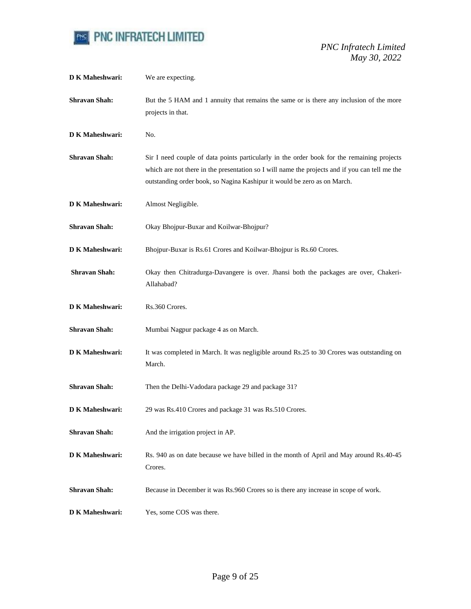

| <b>D K Maheshwari:</b> | We are expecting.                                                                                                                                                                                                                                                        |
|------------------------|--------------------------------------------------------------------------------------------------------------------------------------------------------------------------------------------------------------------------------------------------------------------------|
| <b>Shravan Shah:</b>   | But the 5 HAM and 1 annuity that remains the same or is there any inclusion of the more<br>projects in that.                                                                                                                                                             |
| <b>D K Maheshwari:</b> | No.                                                                                                                                                                                                                                                                      |
| <b>Shravan Shah:</b>   | Sir I need couple of data points particularly in the order book for the remaining projects<br>which are not there in the presentation so I will name the projects and if you can tell me the<br>outstanding order book, so Nagina Kashipur it would be zero as on March. |
| <b>D K Maheshwari:</b> | Almost Negligible.                                                                                                                                                                                                                                                       |
| <b>Shravan Shah:</b>   | Okay Bhojpur-Buxar and Koilwar-Bhojpur?                                                                                                                                                                                                                                  |
| <b>D K Maheshwari:</b> | Bhojpur-Buxar is Rs.61 Crores and Koilwar-Bhojpur is Rs.60 Crores.                                                                                                                                                                                                       |
| <b>Shravan Shah:</b>   | Okay then Chitradurga-Davangere is over. Jhansi both the packages are over, Chakeri-<br>Allahabad?                                                                                                                                                                       |
| <b>D K Maheshwari:</b> | Rs.360 Crores.                                                                                                                                                                                                                                                           |
| <b>Shravan Shah:</b>   | Mumbai Nagpur package 4 as on March.                                                                                                                                                                                                                                     |
| <b>D K Maheshwari:</b> | It was completed in March. It was negligible around Rs.25 to 30 Crores was outstanding on<br>March.                                                                                                                                                                      |
| <b>Shravan Shah:</b>   | Then the Delhi-Vadodara package 29 and package 31?                                                                                                                                                                                                                       |
| <b>D K Maheshwari:</b> | 29 was Rs.410 Crores and package 31 was Rs.510 Crores.                                                                                                                                                                                                                   |
| <b>Shravan Shah:</b>   | And the irrigation project in AP.                                                                                                                                                                                                                                        |
| <b>D K Maheshwari:</b> | Rs. 940 as on date because we have billed in the month of April and May around Rs. 40-45<br>Crores.                                                                                                                                                                      |
| <b>Shravan Shah:</b>   | Because in December it was Rs.960 Crores so is there any increase in scope of work.                                                                                                                                                                                      |
| D K Maheshwari:        | Yes, some COS was there.                                                                                                                                                                                                                                                 |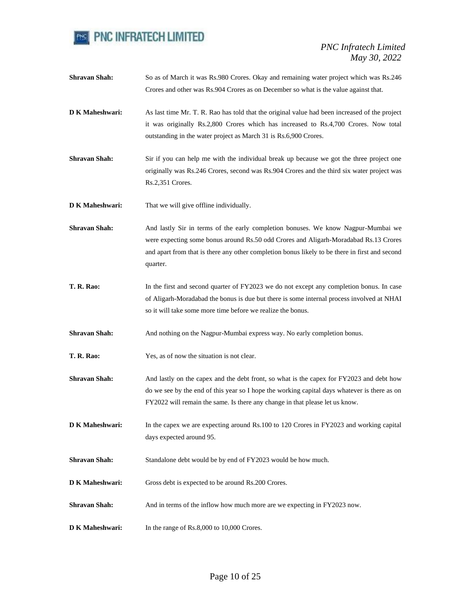

**Shravan Shah:** So as of March it was Rs.980 Crores. Okay and remaining water project which was Rs.246 Crores and other was Rs.904 Crores as on December so what is the value against that. **D K Maheshwari:** As last time Mr. T. R. Rao has told that the original value had been increased of the project it was originally Rs.2,800 Crores which has increased to Rs.4,700 Crores. Now total outstanding in the water project as March 31 is Rs.6,900 Crores. **Shravan Shah:** Sir if you can help me with the individual break up because we got the three project one originally was Rs.246 Crores, second was Rs.904 Crores and the third six water project was Rs.2,351 Crores. **D K Maheshwari:** That we will give offline individually. **Shravan Shah:** And lastly Sir in terms of the early completion bonuses. We know Nagpur-Mumbai we were expecting some bonus around Rs.50 odd Crores and Aligarh-Moradabad Rs.13 Crores and apart from that is there any other completion bonus likely to be there in first and second quarter. **T. R. Rao:** In the first and second quarter of FY2023 we do not except any completion bonus. In case of Aligarh-Moradabad the bonus is due but there is some internal process involved at NHAI so it will take some more time before we realize the bonus. **Shravan Shah:** And nothing on the Nagpur-Mumbai express way. No early completion bonus. **T. R. Rao:** Yes, as of now the situation is not clear. **Shravan Shah:** And lastly on the capex and the debt front, so what is the capex for FY2023 and debt how do we see by the end of this year so I hope the working capital days whatever is there as on FY2022 will remain the same. Is there any change in that please let us know. **D K Maheshwari:** In the capex we are expecting around Rs.100 to 120 Crores in FY2023 and working capital days expected around 95. **Shravan Shah:** Standalone debt would be by end of FY2023 would be how much. **D K Maheshwari:** Gross debt is expected to be around Rs.200 Crores. **Shravan Shah:** And in terms of the inflow how much more are we expecting in FY2023 now. **D K Maheshwari:** In the range of Rs.8,000 to 10,000 Crores.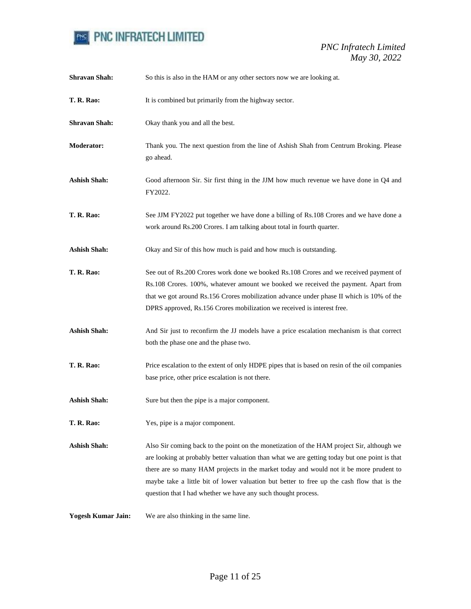

| <b>Shravan Shah:</b>      | So this is also in the HAM or any other sectors now we are looking at.                                                                                                                                                                                                                                                                                                                                                                              |
|---------------------------|-----------------------------------------------------------------------------------------------------------------------------------------------------------------------------------------------------------------------------------------------------------------------------------------------------------------------------------------------------------------------------------------------------------------------------------------------------|
| <b>T. R. Rao:</b>         | It is combined but primarily from the highway sector.                                                                                                                                                                                                                                                                                                                                                                                               |
| <b>Shravan Shah:</b>      | Okay thank you and all the best.                                                                                                                                                                                                                                                                                                                                                                                                                    |
| <b>Moderator:</b>         | Thank you. The next question from the line of Ashish Shah from Centrum Broking. Please<br>go ahead.                                                                                                                                                                                                                                                                                                                                                 |
| <b>Ashish Shah:</b>       | Good afternoon Sir. Sir first thing in the JJM how much revenue we have done in Q4 and<br>FY2022.                                                                                                                                                                                                                                                                                                                                                   |
| <b>T. R. Rao:</b>         | See JJM FY2022 put together we have done a billing of Rs.108 Crores and we have done a<br>work around Rs.200 Crores. I am talking about total in fourth quarter.                                                                                                                                                                                                                                                                                    |
| <b>Ashish Shah:</b>       | Okay and Sir of this how much is paid and how much is outstanding.                                                                                                                                                                                                                                                                                                                                                                                  |
| <b>T. R. Rao:</b>         | See out of Rs.200 Crores work done we booked Rs.108 Crores and we received payment of<br>Rs.108 Crores. 100%, whatever amount we booked we received the payment. Apart from<br>that we got around Rs.156 Crores mobilization advance under phase II which is 10% of the<br>DPRS approved, Rs.156 Crores mobilization we received is interest free.                                                                                                  |
| <b>Ashish Shah:</b>       | And Sir just to reconfirm the JJ models have a price escalation mechanism is that correct<br>both the phase one and the phase two.                                                                                                                                                                                                                                                                                                                  |
| <b>T. R. Rao:</b>         | Price escalation to the extent of only HDPE pipes that is based on resin of the oil companies<br>base price, other price escalation is not there.                                                                                                                                                                                                                                                                                                   |
| <b>Ashish Shah:</b>       | Sure but then the pipe is a major component.                                                                                                                                                                                                                                                                                                                                                                                                        |
| <b>T. R. Rao:</b>         | Yes, pipe is a major component.                                                                                                                                                                                                                                                                                                                                                                                                                     |
| <b>Ashish Shah:</b>       | Also Sir coming back to the point on the monetization of the HAM project Sir, although we<br>are looking at probably better valuation than what we are getting today but one point is that<br>there are so many HAM projects in the market today and would not it be more prudent to<br>maybe take a little bit of lower valuation but better to free up the cash flow that is the<br>question that I had whether we have any such thought process. |
| <b>Yogesh Kumar Jain:</b> | We are also thinking in the same line.                                                                                                                                                                                                                                                                                                                                                                                                              |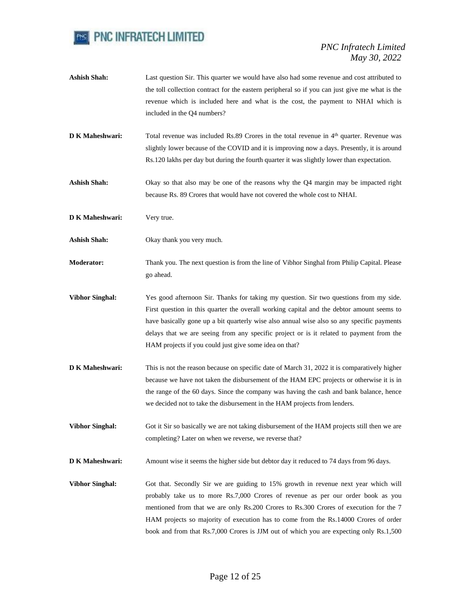

- Ashish Shah: Last question Sir. This quarter we would have also had some revenue and cost attributed to the toll collection contract for the eastern peripheral so if you can just give me what is the revenue which is included here and what is the cost, the payment to NHAI which is included in the Q4 numbers?
- **D K Maheshwari:** Total revenue was included Rs.89 Crores in the total revenue in 4<sup>th</sup> quarter. Revenue was slightly lower because of the COVID and it is improving now a days. Presently, it is around Rs.120 lakhs per day but during the fourth quarter it was slightly lower than expectation.
- Ashish Shah: Okay so that also may be one of the reasons why the Q4 margin may be impacted right because Rs. 89 Crores that would have not covered the whole cost to NHAI.
- **D K Maheshwari:** Very true.
- **Ashish Shah:** Okay thank you very much.
- **Moderator:** Thank you. The next question is from the line of Vibhor Singhal from Philip Capital. Please go ahead.
- **Vibhor Singhal:** Yes good afternoon Sir. Thanks for taking my question. Sir two questions from my side. First question in this quarter the overall working capital and the debtor amount seems to have basically gone up a bit quarterly wise also annual wise also so any specific payments delays that we are seeing from any specific project or is it related to payment from the HAM projects if you could just give some idea on that?
- **D K Maheshwari:** This is not the reason because on specific date of March 31, 2022 it is comparatively higher because we have not taken the disbursement of the HAM EPC projects or otherwise it is in the range of the 60 days. Since the company was having the cash and bank balance, hence we decided not to take the disbursement in the HAM projects from lenders.
- **Vibhor Singhal:** Got it Sir so basically we are not taking disbursement of the HAM projects still then we are completing? Later on when we reverse, we reverse that?
- **D K Maheshwari:** Amount wise it seems the higher side but debtor day it reduced to 74 days from 96 days.
- **Vibhor Singhal:** Got that. Secondly Sir we are guiding to 15% growth in revenue next year which will probably take us to more Rs.7,000 Crores of revenue as per our order book as you mentioned from that we are only Rs.200 Crores to Rs.300 Crores of execution for the 7 HAM projects so majority of execution has to come from the Rs.14000 Crores of order book and from that Rs.7,000 Crores is JJM out of which you are expecting only Rs.1,500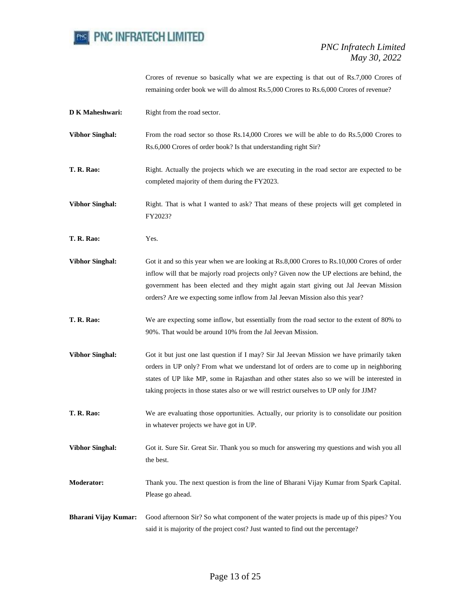

Crores of revenue so basically what we are expecting is that out of Rs.7,000 Crores of remaining order book we will do almost Rs.5,000 Crores to Rs.6,000 Crores of revenue?

| D K Maheshwari:             | Right from the road sector.                                                                                                                                                                                                                                                                                                                                                 |
|-----------------------------|-----------------------------------------------------------------------------------------------------------------------------------------------------------------------------------------------------------------------------------------------------------------------------------------------------------------------------------------------------------------------------|
| <b>Vibhor Singhal:</b>      | From the road sector so those Rs.14,000 Crores we will be able to do Rs.5,000 Crores to<br>Rs.6,000 Crores of order book? Is that understanding right Sir?                                                                                                                                                                                                                  |
| <b>T. R. Rao:</b>           | Right. Actually the projects which we are executing in the road sector are expected to be<br>completed majority of them during the FY2023.                                                                                                                                                                                                                                  |
| <b>Vibhor Singhal:</b>      | Right. That is what I wanted to ask? That means of these projects will get completed in<br>FY2023?                                                                                                                                                                                                                                                                          |
| <b>T. R. Rao:</b>           | Yes.                                                                                                                                                                                                                                                                                                                                                                        |
| <b>Vibhor Singhal:</b>      | Got it and so this year when we are looking at Rs.8,000 Crores to Rs.10,000 Crores of order<br>inflow will that be majorly road projects only? Given now the UP elections are behind, the<br>government has been elected and they might again start giving out Jal Jeevan Mission<br>orders? Are we expecting some inflow from Jal Jeevan Mission also this year?           |
| <b>T. R. Rao:</b>           | We are expecting some inflow, but essentially from the road sector to the extent of 80% to<br>90%. That would be around 10% from the Jal Jeevan Mission.                                                                                                                                                                                                                    |
| <b>Vibhor Singhal:</b>      | Got it but just one last question if I may? Sir Jal Jeevan Mission we have primarily taken<br>orders in UP only? From what we understand lot of orders are to come up in neighboring<br>states of UP like MP, some in Rajasthan and other states also so we will be interested in<br>taking projects in those states also or we will restrict ourselves to UP only for JJM? |
| <b>T. R. Rao:</b>           | We are evaluating those opportunities. Actually, our priority is to consolidate our position<br>in whatever projects we have got in UP.                                                                                                                                                                                                                                     |
| <b>Vibhor Singhal:</b>      | Got it. Sure Sir. Great Sir. Thank you so much for answering my questions and wish you all<br>the best.                                                                                                                                                                                                                                                                     |
| <b>Moderator:</b>           | Thank you. The next question is from the line of Bharani Vijay Kumar from Spark Capital.<br>Please go ahead.                                                                                                                                                                                                                                                                |
| <b>Bharani Vijay Kumar:</b> | Good afternoon Sir? So what component of the water projects is made up of this pipes? You<br>said it is majority of the project cost? Just wanted to find out the percentage?                                                                                                                                                                                               |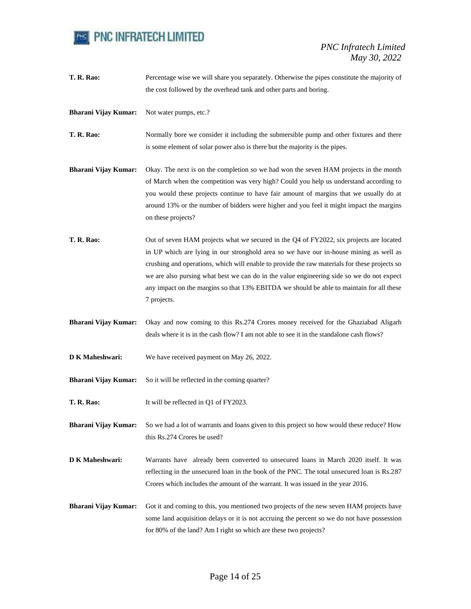

**T. R. Rao:** Percentage wise we will share you separately. Otherwise the pipes constitute the majority of the cost followed by the overhead tank and other parts and boring.

**Bharani Vijay Kumar:** Not water pumps, etc.?

**T. R. Rao:** Normally bore we consider it including the submersible pump and other fixtures and there is some element of solar power also is there but the majority is the pipes.

- **Bharani Vijay Kumar:** Okay. The next is on the completion so we had won the seven HAM projects in the month of March when the competition was very high? Could you help us understand according to you would these projects continue to have fair amount of margins that we usually do at around 13% or the number of bidders were higher and you feel it might impact the margins on these projects?
- **T. R. Rao:** Out of seven HAM projects what we secured in the Q4 of FY2022, six projects are located in UP which are lying in our stronghold area so we have our in-house mining as well as crushing and operations, which will enable to provide the raw materials for these projects so we are also pursing what best we can do in the value engineering side so we do not expect any impact on the margins so that 13% EBITDA we should be able to maintain for all these 7 projects.
- **Bharani Vijay Kumar:** Okay and now coming to this Rs.274 Crores money received for the Ghaziabad Aligarh deals where it is in the cash flow? I am not able to see it in the standalone cash flows?
- **D K Maheshwari:** We have received payment on May 26, 2022.
- **Bharani Vijay Kumar:** So it will be reflected in the coming quarter?
- **T. R. Rao:** It will be reflected in Q1 of FY2023.

**Bharani Vijay Kumar:** So we had a lot of warrants and loans given to this project so how would these reduce? How this Rs.274 Crores be used?

- **D K Maheshwari:** Warrants have already been converted to unsecured loans in March 2020 itself. It was reflecting in the unsecured loan in the book of the PNC. The total unsecured loan is Rs.287 Crores which includes the amount of the warrant. It was issued in the year 2016.
- **Bharani Vijay Kumar:** Got it and coming to this, you mentioned two projects of the new seven HAM projects have some land acquisition delays or it is not accruing the percent so we do not have possession for 80% of the land? Am I right so which are these two projects?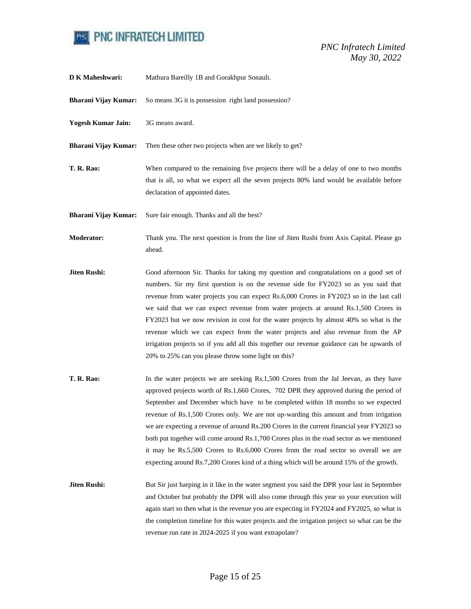

| D K Maheshwari:             | Mathura Bareilly 1B and Gorakhpur Sonauli.                                                                                                                                                                                                                                                                                                                                                                                                                                                                                                                                                                                                                                                                                                     |
|-----------------------------|------------------------------------------------------------------------------------------------------------------------------------------------------------------------------------------------------------------------------------------------------------------------------------------------------------------------------------------------------------------------------------------------------------------------------------------------------------------------------------------------------------------------------------------------------------------------------------------------------------------------------------------------------------------------------------------------------------------------------------------------|
| <b>Bharani Vijay Kumar:</b> | So means 3G it is possession right land possession?                                                                                                                                                                                                                                                                                                                                                                                                                                                                                                                                                                                                                                                                                            |
| <b>Yogesh Kumar Jain:</b>   | 3G means award.                                                                                                                                                                                                                                                                                                                                                                                                                                                                                                                                                                                                                                                                                                                                |
| <b>Bharani Vijay Kumar:</b> | Then these other two projects when are we likely to get?                                                                                                                                                                                                                                                                                                                                                                                                                                                                                                                                                                                                                                                                                       |
| <b>T. R. Rao:</b>           | When compared to the remaining five projects there will be a delay of one to two months<br>that is all, so what we expect all the seven projects 80% land would be available before<br>declaration of appointed dates.                                                                                                                                                                                                                                                                                                                                                                                                                                                                                                                         |
| <b>Bharani Vijay Kumar:</b> | Sure fair enough. Thanks and all the best?                                                                                                                                                                                                                                                                                                                                                                                                                                                                                                                                                                                                                                                                                                     |
| Moderator:                  | Thank you. The next question is from the line of Jiten Rushi from Axis Capital. Please go<br>ahead.                                                                                                                                                                                                                                                                                                                                                                                                                                                                                                                                                                                                                                            |
| Jiten Rushi:                | Good afternoon Sir. Thanks for taking my question and congratulations on a good set of<br>numbers. Sir my first question is on the revenue side for FY2023 so as you said that<br>revenue from water projects you can expect Rs.6,000 Crores in FY2023 so in the last call<br>we said that we can expect revenue from water projects at around Rs.1,500 Crores in<br>FY2023 but we now revision in cost for the water projects by almost 40% so what is the<br>revenue which we can expect from the water projects and also revenue from the AP<br>irrigation projects so if you add all this together our revenue guidance can be upwards of<br>20% to 25% can you please throw some light on this?                                           |
| T. R. Rao:                  | In the water projects we are seeking Rs.1,500 Crores from the Jal Jeevan, as they have<br>approved projects worth of Rs.1,660 Crores, 702 DPR they approved during the period of<br>September and December which have to be completed within 18 months so we expected<br>revenue of Rs.1,500 Crores only. We are not up-warding this amount and from irrigation<br>we are expecting a revenue of around Rs.200 Crores in the current financial year FY2023 so<br>both put together will come around Rs.1,700 Crores plus in the road sector as we mentioned<br>it may be Rs.5,500 Crores to Rs.6,000 Crores from the road sector so overall we are<br>expecting around Rs.7,200 Crores kind of a thing which will be around 15% of the growth. |
| Jiten Rushi:                | But Sir just harping in it like in the water segment you said the DPR your last in September<br>and October but probably the DPR will also come through this year so your execution will<br>again start so then what is the revenue you are expecting in FY2024 and FY2025, so what is<br>the completion timeline for this water projects and the irrigation project so what can be the<br>revenue run rate in 2024-2025 if you want extrapolate?                                                                                                                                                                                                                                                                                              |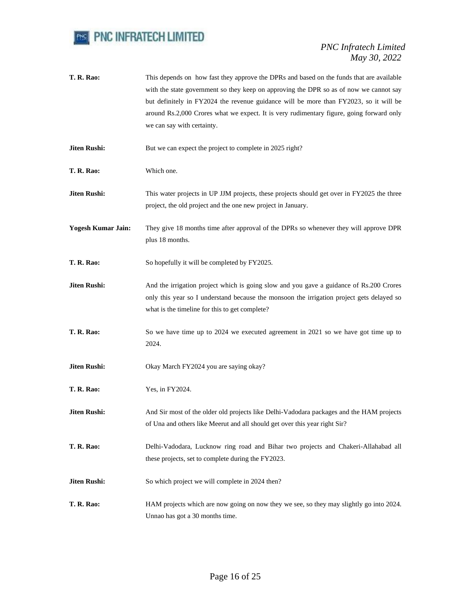

- **T. R. Rao:** This depends on how fast they approve the DPRs and based on the funds that are available with the state government so they keep on approving the DPR so as of now we cannot say but definitely in FY2024 the revenue guidance will be more than FY2023, so it will be around Rs.2,000 Crores what we expect. It is very rudimentary figure, going forward only we can say with certainty.
- **Jiten Rushi:** But we can expect the project to complete in 2025 right?
- **T. R. Rao:** Which one.
- **Jiten Rushi:** This water projects in UP JJM projects, these projects should get over in FY2025 the three project, the old project and the one new project in January.
- **Yogesh Kumar Jain:** They give 18 months time after approval of the DPRs so whenever they will approve DPR plus 18 months.
- **T. R. Rao:** So hopefully it will be completed by FY2025.
- **Jiten Rushi:** And the irrigation project which is going slow and you gave a guidance of Rs.200 Crores only this year so I understand because the monsoon the irrigation project gets delayed so what is the timeline for this to get complete?
- **T. R. Rao:** So we have time up to 2024 we executed agreement in 2021 so we have got time up to 2024.
- **Jiten Rushi:** Okay March FY2024 you are saying okay?
- **T. R. Rao:** Yes, in FY2024.
- **Jiten Rushi:** And Sir most of the older old projects like Delhi-Vadodara packages and the HAM projects of Una and others like Meerut and all should get over this year right Sir?
- **T. R. Rao:** Delhi-Vadodara, Lucknow ring road and Bihar two projects and Chakeri-Allahabad all these projects, set to complete during the FY2023.
- **Jiten Rushi:** So which project we will complete in 2024 then?
- **T. R. Rao:** HAM projects which are now going on now they we see, so they may slightly go into 2024. Unnao has got a 30 months time.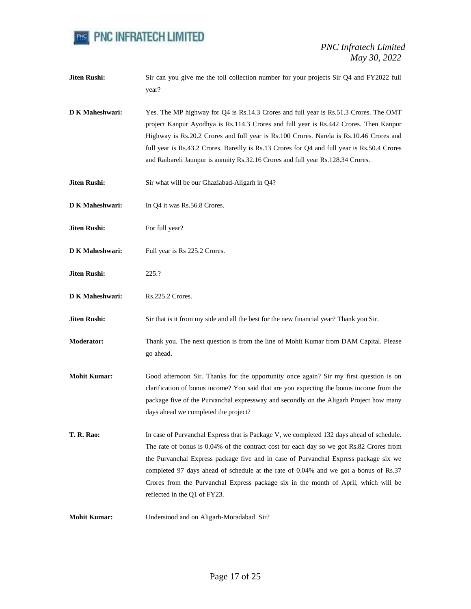

| <b>Jiten Rushi:</b>    | Sir can you give me the toll collection number for your projects Sir Q4 and FY2022 full<br>year?                                                                                                                                                                                                                                                                                                                                                                                             |
|------------------------|----------------------------------------------------------------------------------------------------------------------------------------------------------------------------------------------------------------------------------------------------------------------------------------------------------------------------------------------------------------------------------------------------------------------------------------------------------------------------------------------|
| D K Maheshwari:        | Yes. The MP highway for Q4 is Rs.14.3 Crores and full year is Rs.51.3 Crores. The OMT<br>project Kanpur Ayodhya is Rs.114.3 Crores and full year is Rs.442 Crores. Then Kanpur<br>Highway is Rs.20.2 Crores and full year is Rs.100 Crores. Narela is Rs.10.46 Crores and<br>full year is Rs.43.2 Crores. Bareilly is Rs.13 Crores for Q4 and full year is Rs.50.4 Crores<br>and Raibareli Jaunpur is annuity Rs.32.16 Crores and full year Rs.128.34 Crores.                                |
| <b>Jiten Rushi:</b>    | Sir what will be our Ghaziabad-Aligarh in Q4?                                                                                                                                                                                                                                                                                                                                                                                                                                                |
| D K Maheshwari:        | In Q4 it was Rs.56.8 Crores.                                                                                                                                                                                                                                                                                                                                                                                                                                                                 |
| <b>Jiten Rushi:</b>    | For full year?                                                                                                                                                                                                                                                                                                                                                                                                                                                                               |
| D K Maheshwari:        | Full year is Rs 225.2 Crores.                                                                                                                                                                                                                                                                                                                                                                                                                                                                |
| <b>Jiten Rushi:</b>    | 225.?                                                                                                                                                                                                                                                                                                                                                                                                                                                                                        |
| <b>D K Maheshwari:</b> | Rs.225.2 Crores.                                                                                                                                                                                                                                                                                                                                                                                                                                                                             |
| <b>Jiten Rushi:</b>    | Sir that is it from my side and all the best for the new financial year? Thank you Sir.                                                                                                                                                                                                                                                                                                                                                                                                      |
| <b>Moderator:</b>      | Thank you. The next question is from the line of Mohit Kumar from DAM Capital. Please<br>go ahead.                                                                                                                                                                                                                                                                                                                                                                                           |
| <b>Mohit Kumar:</b>    | Good afternoon Sir. Thanks for the opportunity once again? Sir my first question is on<br>clarification of bonus income? You said that are you expecting the bonus income from the<br>package five of the Purvanchal expressway and secondly on the Aligarh Project how many<br>days ahead we completed the project?                                                                                                                                                                         |
| <b>T. R. Rao:</b>      | In case of Purvanchal Express that is Package V, we completed 132 days ahead of schedule.<br>The rate of bonus is 0.04% of the contract cost for each day so we got Rs.82 Crores from<br>the Purvanchal Express package five and in case of Purvanchal Express package six we<br>completed 97 days ahead of schedule at the rate of 0.04% and we got a bonus of Rs.37<br>Crores from the Purvanchal Express package six in the month of April, which will be<br>reflected in the Q1 of FY23. |
| <b>Mohit Kumar:</b>    | Understood and on Aligarh-Moradabad Sir?                                                                                                                                                                                                                                                                                                                                                                                                                                                     |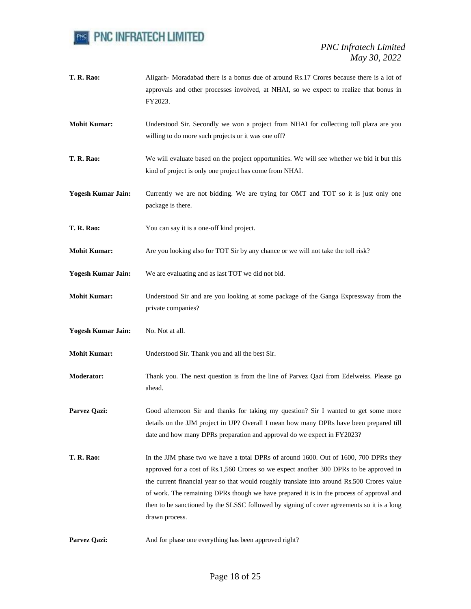

- **T. R. Rao:** Aligarh- Moradabad there is a bonus due of around Rs.17 Crores because there is a lot of approvals and other processes involved, at NHAI, so we expect to realize that bonus in FY2023.
- **Mohit Kumar:** Understood Sir. Secondly we won a project from NHAI for collecting toll plaza are you willing to do more such projects or it was one off?
- **T. R. Rao:** We will evaluate based on the project opportunities. We will see whether we bid it but this kind of project is only one project has come from NHAI.
- **Yogesh Kumar Jain:** Currently we are not bidding. We are trying for OMT and TOT so it is just only one package is there.
- **T. R. Rao:** You can say it is a one-off kind project.
- **Mohit Kumar:** Are you looking also for TOT Sir by any chance or we will not take the toll risk?
- **Yogesh Kumar Jain:** We are evaluating and as last TOT we did not bid.
- **Mohit Kumar:** Understood Sir and are you looking at some package of the Ganga Expressway from the private companies?
- **Yogesh Kumar Jain:** No. Not at all.
- **Mohit Kumar:** Understood Sir. Thank you and all the best Sir.
- **Moderator:** Thank you. The next question is from the line of Parvez Qazi from Edelweiss. Please go ahead.
- **Parvez Qazi:** Good afternoon Sir and thanks for taking my question? Sir I wanted to get some more details on the JJM project in UP? Overall I mean how many DPRs have been prepared till date and how many DPRs preparation and approval do we expect in FY2023?
- **T. R. Rao:** In the JJM phase two we have a total DPRs of around 1600. Out of 1600, 700 DPRs they approved for a cost of Rs.1,560 Crores so we expect another 300 DPRs to be approved in the current financial year so that would roughly translate into around Rs.500 Crores value of work. The remaining DPRs though we have prepared it is in the process of approval and then to be sanctioned by the SLSSC followed by signing of cover agreements so it is a long drawn process.
- **Parvez Qazi:** And for phase one everything has been approved right?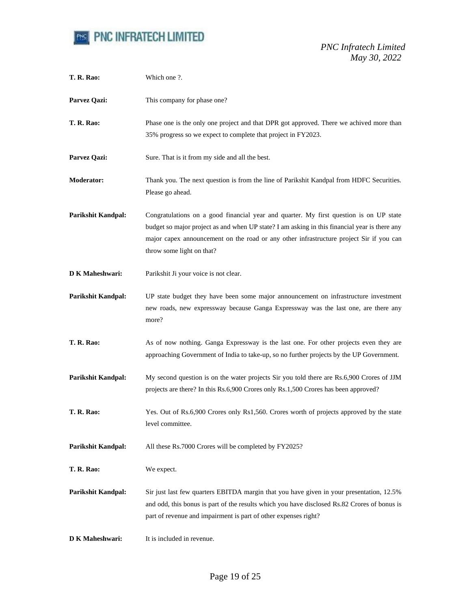

| T. R. Rao:                | Which one ?.                                                                                                                                                                                                                                                                                                    |
|---------------------------|-----------------------------------------------------------------------------------------------------------------------------------------------------------------------------------------------------------------------------------------------------------------------------------------------------------------|
| Parvez Qazi:              | This company for phase one?                                                                                                                                                                                                                                                                                     |
| <b>T. R. Rao:</b>         | Phase one is the only one project and that DPR got approved. There we achived more than<br>35% progress so we expect to complete that project in FY2023.                                                                                                                                                        |
| Parvez Qazi:              | Sure. That is it from my side and all the best.                                                                                                                                                                                                                                                                 |
| <b>Moderator:</b>         | Thank you. The next question is from the line of Parikshit Kandpal from HDFC Securities.<br>Please go ahead.                                                                                                                                                                                                    |
| <b>Parikshit Kandpal:</b> | Congratulations on a good financial year and quarter. My first question is on UP state<br>budget so major project as and when UP state? I am asking in this financial year is there any<br>major capex announcement on the road or any other infrastructure project Sir if you can<br>throw some light on that? |
| D K Maheshwari:           | Parikshit Ji your voice is not clear.                                                                                                                                                                                                                                                                           |
| <b>Parikshit Kandpal:</b> | UP state budget they have been some major announcement on infrastructure investment<br>new roads, new expressway because Ganga Expressway was the last one, are there any<br>more?                                                                                                                              |
| T. R. Rao:                | As of now nothing. Ganga Expressway is the last one. For other projects even they are<br>approaching Government of India to take-up, so no further projects by the UP Government.                                                                                                                               |
| Parikshit Kandpal:        | My second question is on the water projects Sir you told there are Rs.6,900 Crores of JJM<br>projects are there? In this Rs.6,900 Crores only Rs.1,500 Crores has been approved?                                                                                                                                |
| T. R. Rao:                | Yes. Out of Rs.6,900 Crores only Rs1,560. Crores worth of projects approved by the state<br>level committee.                                                                                                                                                                                                    |
| <b>Parikshit Kandpal:</b> | All these Rs.7000 Crores will be completed by FY2025?                                                                                                                                                                                                                                                           |
| T. R. Rao:                | We expect.                                                                                                                                                                                                                                                                                                      |
| <b>Parikshit Kandpal:</b> | Sir just last few quarters EBITDA margin that you have given in your presentation, 12.5%<br>and odd, this bonus is part of the results which you have disclosed Rs.82 Crores of bonus is<br>part of revenue and impairment is part of other expenses right?                                                     |
| D K Maheshwari:           | It is included in revenue.                                                                                                                                                                                                                                                                                      |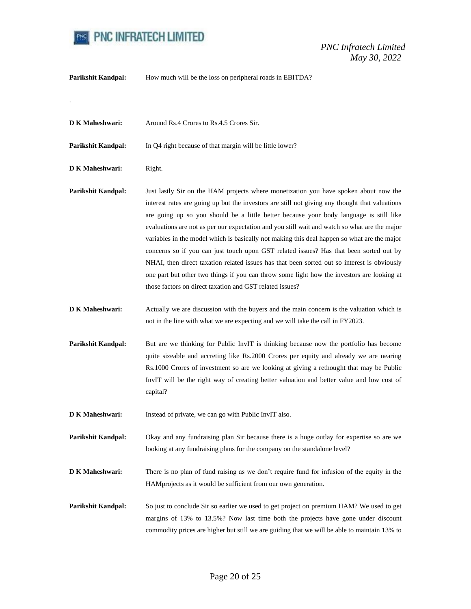

**Parikshit Kandpal:** How much will be the loss on peripheral roads in EBITDA?

**D K Maheshwari:** Around Rs.4 Crores to Rs.4.5 Crores Sir.

**Parikshit Kandpal:** In Q4 right because of that margin will be little lower?

**D K Maheshwari:** Right.

.

- **Parikshit Kandpal:** Just lastly Sir on the HAM projects where monetization you have spoken about now the interest rates are going up but the investors are still not giving any thought that valuations are going up so you should be a little better because your body language is still like evaluations are not as per our expectation and you still wait and watch so what are the major variables in the model which is basically not making this deal happen so what are the major concerns so if you can just touch upon GST related issues? Has that been sorted out by NHAI, then direct taxation related issues has that been sorted out so interest is obviously one part but other two things if you can throw some light how the investors are looking at those factors on direct taxation and GST related issues?
- **D K Maheshwari:** Actually we are discussion with the buyers and the main concern is the valuation which is not in the line with what we are expecting and we will take the call in FY2023.
- **Parikshit Kandpal:** But are we thinking for Public InvIT is thinking because now the portfolio has become quite sizeable and accreting like Rs.2000 Crores per equity and already we are nearing Rs.1000 Crores of investment so are we looking at giving a rethought that may be Public InvIT will be the right way of creating better valuation and better value and low cost of capital?
- **D K Maheshwari:** Instead of private, we can go with Public InvIT also.
- **Parikshit Kandpal:** Okay and any fundraising plan Sir because there is a huge outlay for expertise so are we looking at any fundraising plans for the company on the standalone level?
- **D K Maheshwari:** There is no plan of fund raising as we don't require fund for infusion of the equity in the HAMprojects as it would be sufficient from our own generation.
- Parikshit Kandpal: So just to conclude Sir so earlier we used to get project on premium HAM? We used to get margins of 13% to 13.5%? Now last time both the projects have gone under discount commodity prices are higher but still we are guiding that we will be able to maintain 13% to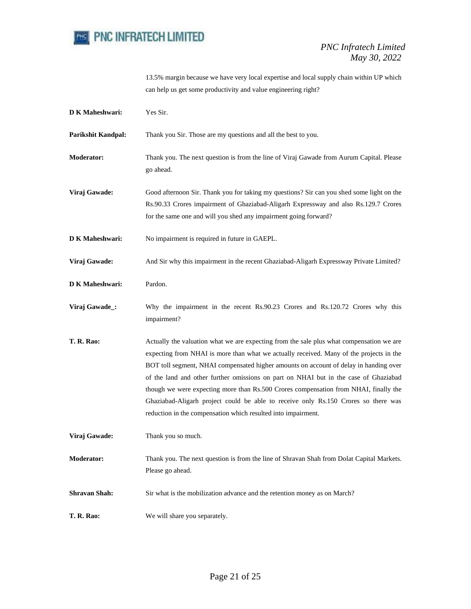

13.5% margin because we have very local expertise and local supply chain within UP which can help us get some productivity and value engineering right?

| <b>D K Maheshwari:</b>    | Yes Sir.                                                                                                                                                                                                                                                                                                                                                                                                                                                                                                                                                                                                            |
|---------------------------|---------------------------------------------------------------------------------------------------------------------------------------------------------------------------------------------------------------------------------------------------------------------------------------------------------------------------------------------------------------------------------------------------------------------------------------------------------------------------------------------------------------------------------------------------------------------------------------------------------------------|
| <b>Parikshit Kandpal:</b> | Thank you Sir. Those are my questions and all the best to you.                                                                                                                                                                                                                                                                                                                                                                                                                                                                                                                                                      |
| <b>Moderator:</b>         | Thank you. The next question is from the line of Viraj Gawade from Aurum Capital. Please<br>go ahead.                                                                                                                                                                                                                                                                                                                                                                                                                                                                                                               |
| Viraj Gawade:             | Good afternoon Sir. Thank you for taking my questions? Sir can you shed some light on the<br>Rs.90.33 Crores impairment of Ghaziabad-Aligarh Expressway and also Rs.129.7 Crores<br>for the same one and will you shed any impairment going forward?                                                                                                                                                                                                                                                                                                                                                                |
| <b>D K Maheshwari:</b>    | No impairment is required in future in GAEPL.                                                                                                                                                                                                                                                                                                                                                                                                                                                                                                                                                                       |
| Viraj Gawade:             | And Sir why this impairment in the recent Ghaziabad-Aligarh Expressway Private Limited?                                                                                                                                                                                                                                                                                                                                                                                                                                                                                                                             |
| <b>D K Maheshwari:</b>    | Pardon.                                                                                                                                                                                                                                                                                                                                                                                                                                                                                                                                                                                                             |
| Viraj Gawade_:            | Why the impairment in the recent Rs.90.23 Crores and Rs.120.72 Crores why this<br>impairment?                                                                                                                                                                                                                                                                                                                                                                                                                                                                                                                       |
| <b>T. R. Rao:</b>         | Actually the valuation what we are expecting from the sale plus what compensation we are<br>expecting from NHAI is more than what we actually received. Many of the projects in the<br>BOT toll segment, NHAI compensated higher amounts on account of delay in handing over<br>of the land and other further omissions on part on NHAI but in the case of Ghaziabad<br>though we were expecting more than Rs.500 Crores compensation from NHAI, finally the<br>Ghaziabad-Aligarh project could be able to receive only Rs.150 Crores so there was<br>reduction in the compensation which resulted into impairment. |
| Viraj Gawade:             | Thank you so much.                                                                                                                                                                                                                                                                                                                                                                                                                                                                                                                                                                                                  |
| <b>Moderator:</b>         | Thank you. The next question is from the line of Shravan Shah from Dolat Capital Markets.<br>Please go ahead.                                                                                                                                                                                                                                                                                                                                                                                                                                                                                                       |
| <b>Shravan Shah:</b>      | Sir what is the mobilization advance and the retention money as on March?                                                                                                                                                                                                                                                                                                                                                                                                                                                                                                                                           |
| T. R. Rao:                | We will share you separately.                                                                                                                                                                                                                                                                                                                                                                                                                                                                                                                                                                                       |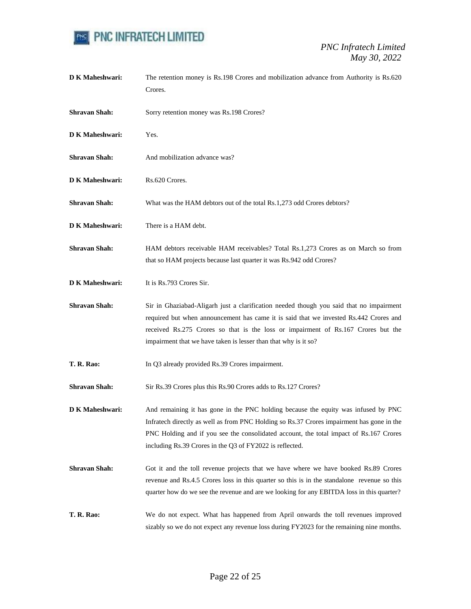

**D K Maheshwari:** The retention money is Rs.198 Crores and mobilization advance from Authority is Rs.620 Crores. **Shravan Shah:** Sorry retention money was Rs.198 Crores? **D K Maheshwari:** Yes. **Shravan Shah:** And mobilization advance was? **D K Maheshwari:** Rs.620 Crores. **Shravan Shah:** What was the HAM debtors out of the total Rs.1,273 odd Crores debtors? **D K Maheshwari:** There is a HAM debt. **Shravan Shah:** HAM debtors receivable HAM receivables? Total Rs.1,273 Crores as on March so from that so HAM projects because last quarter it was Rs.942 odd Crores? **D K Maheshwari:** It is Rs.793 Crores Sir. **Shravan Shah:** Sir in Ghaziabad-Aligarh just a clarification needed though you said that no impairment required but when announcement has came it is said that we invested Rs.442 Crores and received Rs.275 Crores so that is the loss or impairment of Rs.167 Crores but the impairment that we have taken is lesser than that why is it so? **T. R. Rao:** In Q3 already provided Rs.39 Crores impairment. Shravan Shah: Sir Rs.39 Crores plus this Rs.90 Crores adds to Rs.127 Crores? **D K Maheshwari:** And remaining it has gone in the PNC holding because the equity was infused by PNC Infratech directly as well as from PNC Holding so Rs.37 Crores impairment has gone in the PNC Holding and if you see the consolidated account, the total impact of Rs.167 Crores including Rs.39 Crores in the Q3 of FY2022 is reflected. **Shravan Shah:** Got it and the toll revenue projects that we have where we have booked Rs.89 Crores revenue and Rs.4.5 Crores loss in this quarter so this is in the standalone revenue so this quarter how do we see the revenue and are we looking for any EBITDA loss in this quarter? **T. R. Rao:** We do not expect. What has happened from April onwards the toll revenues improved sizably so we do not expect any revenue loss during FY2023 for the remaining nine months.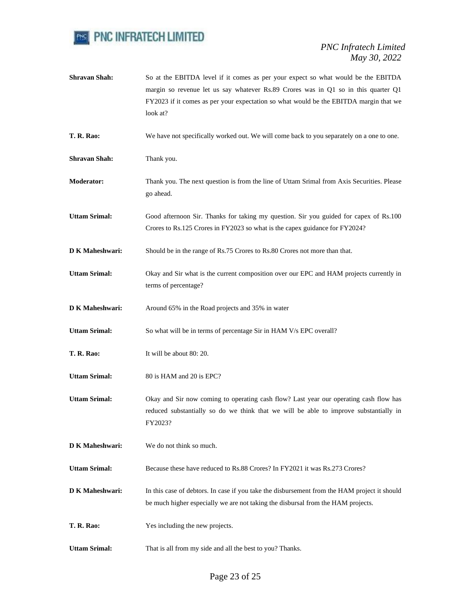

**Shravan Shah:** So at the EBITDA level if it comes as per your expect so what would be the EBITDA margin so revenue let us say whatever Rs.89 Crores was in Q1 so in this quarter Q1 FY2023 if it comes as per your expectation so what would be the EBITDA margin that we look at? **T. R. Rao:** We have not specifically worked out. We will come back to you separately on a one to one. **Shravan Shah:** Thank you. **Moderator:** Thank you. The next question is from the line of Uttam Srimal from Axis Securities. Please go ahead. **Uttam Srimal:** Good afternoon Sir. Thanks for taking my question. Sir you guided for capex of Rs.100 Crores to Rs.125 Crores in FY2023 so what is the capex guidance for FY2024? **D K Maheshwari:** Should be in the range of Rs.75 Crores to Rs.80 Crores not more than that. **Uttam Srimal:** Okay and Sir what is the current composition over our EPC and HAM projects currently in terms of percentage? **D K Maheshwari:** Around 65% in the Road projects and 35% in water Uttam Srimal: So what will be in terms of percentage Sir in HAM V/s EPC overall? **T. R. Rao:** It will be about 80: 20. **Uttam Srimal:** 80 is HAM and 20 is EPC? **Uttam Srimal:** Okay and Sir now coming to operating cash flow? Last year our operating cash flow has reduced substantially so do we think that we will be able to improve substantially in FY2023? **D K Maheshwari:** We do not think so much. Uttam Srimal: Because these have reduced to Rs.88 Crores? In FY2021 it was Rs.273 Crores? **D K Maheshwari:** In this case of debtors. In case if you take the disbursement from the HAM project it should be much higher especially we are not taking the disbursal from the HAM projects. **T. R. Rao:** Yes including the new projects. **Uttam Srimal:** That is all from my side and all the best to you? Thanks.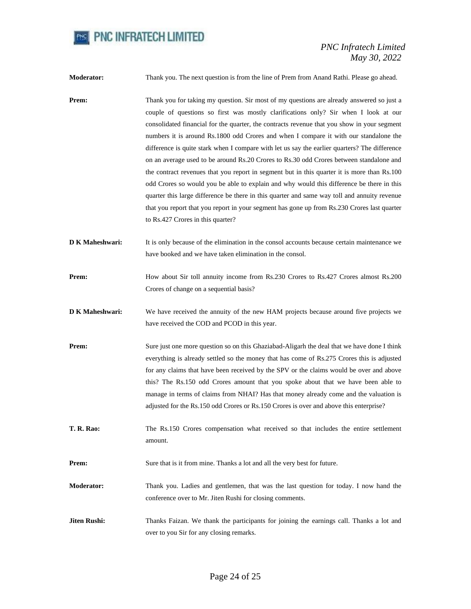

**Moderator:** Thank you. The next question is from the line of Prem from Anand Rathi. Please go ahead.

- **Prem:** Thank you for taking my question. Sir most of my questions are already answered so just a couple of questions so first was mostly clarifications only? Sir when I look at our consolidated financial for the quarter, the contracts revenue that you show in your segment numbers it is around Rs.1800 odd Crores and when I compare it with our standalone the difference is quite stark when I compare with let us say the earlier quarters? The difference on an average used to be around Rs.20 Crores to Rs.30 odd Crores between standalone and the contract revenues that you report in segment but in this quarter it is more than Rs.100 odd Crores so would you be able to explain and why would this difference be there in this quarter this large difference be there in this quarter and same way toll and annuity revenue that you report that you report in your segment has gone up from Rs.230 Crores last quarter to Rs.427 Crores in this quarter?
- **D K Maheshwari:** It is only because of the elimination in the consol accounts because certain maintenance we have booked and we have taken elimination in the consol.
- **Prem:** How about Sir toll annuity income from Rs.230 Crores to Rs.427 Crores almost Rs.200 Crores of change on a sequential basis?
- **D K Maheshwari:** We have received the annuity of the new HAM projects because around five projects we have received the COD and PCOD in this year.
- **Prem:** Sure just one more question so on this Ghaziabad-Aligarh the deal that we have done I think everything is already settled so the money that has come of Rs.275 Crores this is adjusted for any claims that have been received by the SPV or the claims would be over and above this? The Rs.150 odd Crores amount that you spoke about that we have been able to manage in terms of claims from NHAI? Has that money already come and the valuation is adjusted for the Rs.150 odd Crores or Rs.150 Crores is over and above this enterprise?
- **T. R. Rao:** The Rs.150 Crores compensation what received so that includes the entire settlement amount.
- **Prem:** Sure that is it from mine. Thanks a lot and all the very best for future.
- **Moderator:** Thank you. Ladies and gentlemen, that was the last question for today. I now hand the conference over to Mr. Jiten Rushi for closing comments.
- **Jiten Rushi:** Thanks Faizan. We thank the participants for joining the earnings call. Thanks a lot and over to you Sir for any closing remarks.